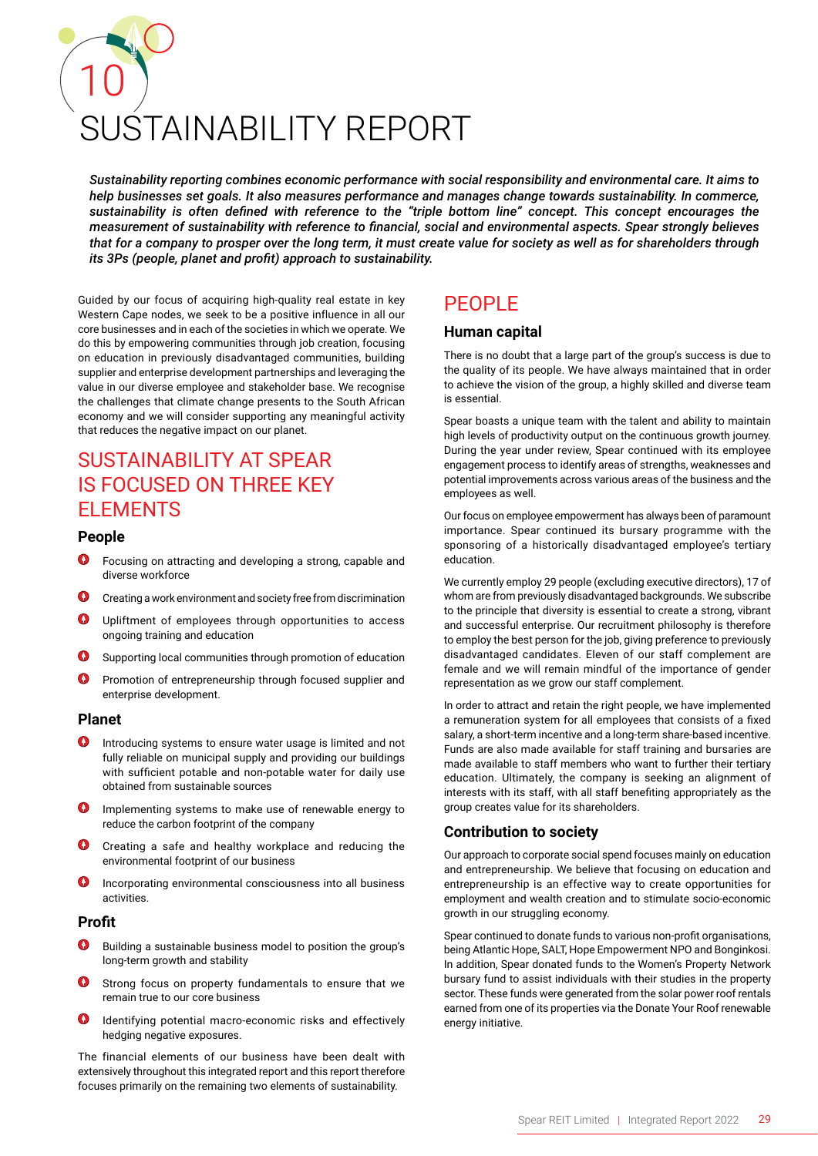# 10 JŚTAINABILITY RFPORT

*Sustainability reporting combines economic performance with social responsibility and environmental care. It aims to help businesses set goals. It also measures performance and manages change towards sustainability. In commerce, sustainability is often defined with reference to the "triple bottom line" concept. This concept encourages the measurement of sustainability with reference to financial, social and environmental aspects. Spear strongly believes that for a company to prosper over the long term, it must create value for society as well as for shareholders through its 3Ps (people, planet and profit) approach to sustainability.*

Guided by our focus of acquiring high-quality real estate in key Western Cape nodes, we seek to be a positive influence in all our core businesses and in each of the societies in which we operate. We do this by empowering communities through job creation, focusing on education in previously disadvantaged communities, building supplier and enterprise development partnerships and leveraging the value in our diverse employee and stakeholder base. We recognise the challenges that climate change presents to the South African economy and we will consider supporting any meaningful activity that reduces the negative impact on our planet.

## SUSTAINABILITY AT SPEAR IS FOCUSED ON THREE KEY ELEMENTS

#### **People**

- Focusing on attracting and developing a strong, capable and diverse workforce
- Creating a work environment and society free from discrimination
- Upliftment of employees through opportunities to access ongoing training and education
- $\bullet$ Supporting local communities through promotion of education
- $\bullet$ Promotion of entrepreneurship through focused supplier and enterprise development.

#### **Planet**

- Introducing systems to ensure water usage is limited and not fully reliable on municipal supply and providing our buildings with sufficient potable and non-potable water for daily use obtained from sustainable sources
- Implementing systems to make use of renewable energy to reduce the carbon footprint of the company
- $\bullet$ Creating a safe and healthy workplace and reducing the environmental footprint of our business
- $\bullet$ Incorporating environmental consciousness into all business activities.

#### **Profit**

- Building a sustainable business model to position the group's long-term growth and stability
- Strong focus on property fundamentals to ensure that we remain true to our core business
- $\bullet$ Identifying potential macro-economic risks and effectively hedging negative exposures.

The financial elements of our business have been dealt with extensively throughout this integrated report and this report therefore focuses primarily on the remaining two elements of sustainability.

### **PFOPLE**

#### **Human capital**

There is no doubt that a large part of the group's success is due to the quality of its people. We have always maintained that in order to achieve the vision of the group, a highly skilled and diverse team is essential.

Spear boasts a unique team with the talent and ability to maintain high levels of productivity output on the continuous growth journey. During the year under review, Spear continued with its employee engagement process to identify areas of strengths, weaknesses and potential improvements across various areas of the business and the employees as well.

Our focus on employee empowerment has always been of paramount importance. Spear continued its bursary programme with the sponsoring of a historically disadvantaged employee's tertiary education.

We currently employ 29 people (excluding executive directors), 17 of whom are from previously disadvantaged backgrounds. We subscribe to the principle that diversity is essential to create a strong, vibrant and successful enterprise. Our recruitment philosophy is therefore to employ the best person for the job, giving preference to previously disadvantaged candidates. Eleven of our staff complement are female and we will remain mindful of the importance of gender representation as we grow our staff complement.

In order to attract and retain the right people, we have implemented a remuneration system for all employees that consists of a fixed salary, a short-term incentive and a long-term share-based incentive. Funds are also made available for staff training and bursaries are made available to staff members who want to further their tertiary education. Ultimately, the company is seeking an alignment of interests with its staff, with all staff benefiting appropriately as the group creates value for its shareholders.

#### **Contribution to society**

Our approach to corporate social spend focuses mainly on education and entrepreneurship. We believe that focusing on education and entrepreneurship is an effective way to create opportunities for employment and wealth creation and to stimulate socio-economic growth in our struggling economy.

Spear continued to donate funds to various non-profit organisations, being Atlantic Hope, SALT, Hope Empowerment NPO and Bonginkosi. In addition, Spear donated funds to the Women's Property Network bursary fund to assist individuals with their studies in the property sector. These funds were generated from the solar power roof rentals earned from one of its properties via the Donate Your Roof renewable energy initiative.